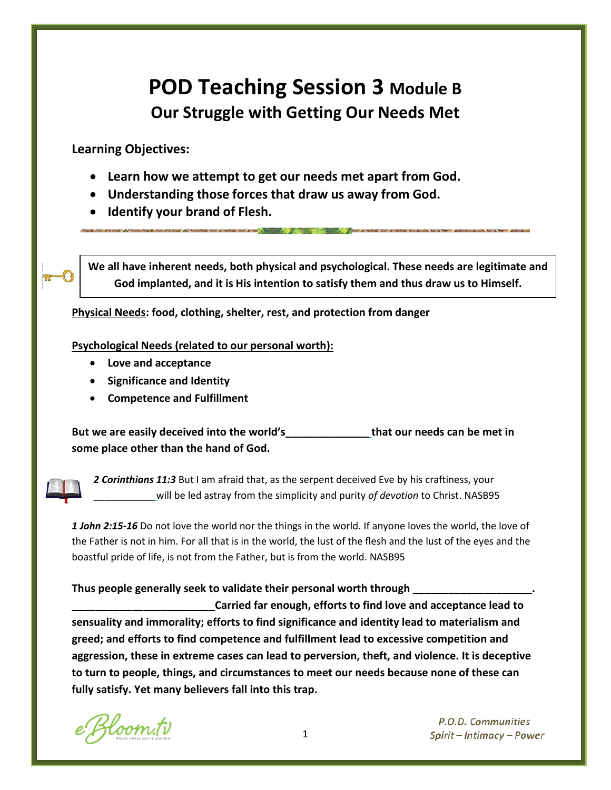# **POD Teaching Session 3 Module B Our Struggle with Getting Our Needs Met**

**Learning Objectives:**

- **Learn how we attempt to get our needs met apart from God.**
- **Understanding those forces that draw us away from God.**
- **Identify your brand of Flesh.**

**We all have inherent needs, both physical and psychological. These needs are legitimate and God implanted, and it is His intention to satisfy them and thus draw us to Himself.**

**Physical Needs: food, clothing, shelter, rest, and protection from danger**

**Psychological Needs (related to our personal worth):**

- **Love and acceptance**
- **Significance and Identity**
- **Competence and Fulfillment**

**But we are easily deceived into the world's\_\_\_\_\_\_\_\_\_\_\_\_\_\_ that our needs can be met in some place other than the hand of God.**



*2 Corinthians 11:3* But I am afraid that, as the serpent deceived Eve by his craftiness, your \_\_\_\_\_\_\_\_\_\_\_ will be led astray from the simplicity and purity *of devotion* to Christ. NASB95

*1 John 2:15-16* Do not love the world nor the things in the world. If anyone loves the world, the love of the Father is not in him. For all that is in the world, the lust of the flesh and the lust of the eyes and the boastful pride of life, is not from the Father, but is from the world. NASB95

## **Thus people generally seek to validate their personal worth through \_\_\_\_\_\_\_\_\_\_\_\_\_\_\_\_\_\_\_\_.**

**\_\_\_\_\_\_\_\_\_\_\_\_\_\_\_\_\_\_\_\_\_\_\_\_Carried far enough, efforts to find love and acceptance lead to sensuality and immorality; efforts to find significance and identity lead to materialism and greed; and efforts to find competence and fulfillment lead to excessive competition and aggression, these in extreme cases can lead to perversion, theft, and violence. It is deceptive to turn to people, things, and circumstances to meet our needs because none of these can fully satisfy. Yet many believers fall into this trap.** 

loom.tv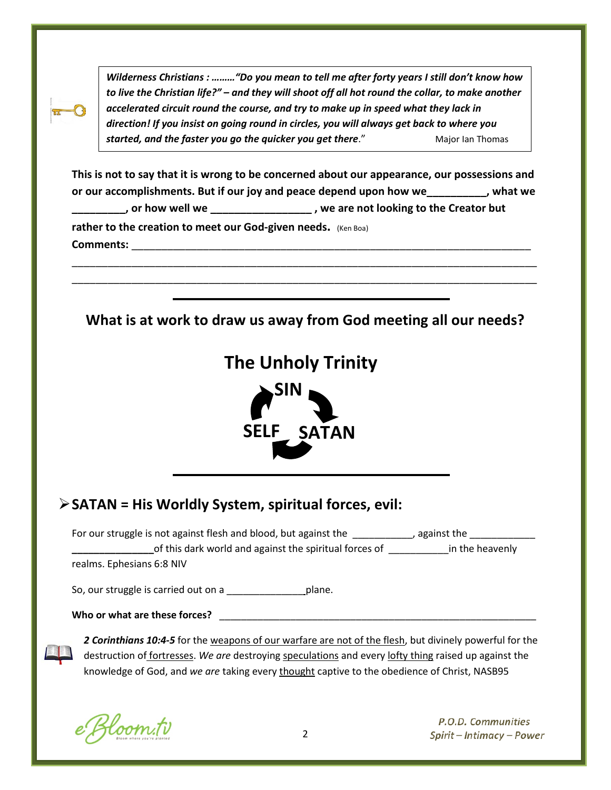*Wilderness Christians : ………"Do you mean to tell me after forty years I still don't know how to live the Christian life?" – and they will shoot off all hot round the collar, to make another accelerated circuit round the course, and try to make up in speed what they lack in direction! If you insist on going round in circles, you will always get back to where you started, and the faster you go the quicker you get there."* **Major Ian Thomas** 

**This is not to say that it is wrong to be concerned about our appearance, our possessions and or our accomplishments. But if our joy and peace depend upon how we\_\_\_\_\_\_\_\_\_\_, what we \_\_\_\_\_\_\_\_\_, or how well we \_\_\_\_\_\_\_\_\_\_\_\_\_\_\_\_\_ , we are not looking to the Creator but rather to the creation to meet our God-given needs.** (Ken Boa) **Comments:** \_\_\_\_\_\_\_\_\_\_\_\_\_\_\_\_\_\_\_\_\_\_\_\_\_\_\_\_\_\_\_\_\_\_\_\_\_\_\_\_\_\_\_\_\_\_\_\_\_\_\_\_\_\_\_\_\_\_\_\_\_\_\_\_\_\_\_

\_\_\_\_\_\_\_\_\_\_\_\_\_\_\_\_\_\_\_\_\_\_\_\_\_\_\_\_\_\_\_\_\_\_\_\_\_\_\_\_\_\_\_\_\_\_\_\_\_\_\_\_\_\_\_\_\_\_\_\_\_\_\_\_\_\_\_\_\_\_\_\_\_\_\_\_\_\_ \_\_\_\_\_\_\_\_\_\_\_\_\_\_\_\_\_\_\_\_\_\_\_\_\_\_\_\_\_\_\_\_\_\_\_\_\_\_\_\_\_\_\_\_\_\_\_\_\_\_\_\_\_\_\_\_\_\_\_\_\_\_\_\_\_\_\_\_\_\_\_\_\_\_\_\_\_\_

**What is at work to draw us away from God meeting all our needs?**





| > SATAN = His Worldly System, spiritual forces, evil: |  |
|-------------------------------------------------------|--|
|-------------------------------------------------------|--|

| For our struggle is not against flesh and blood, but against the | against the     |
|------------------------------------------------------------------|-----------------|
| of this dark world and against the spiritual forces of           | in the heavenly |
| realms. Ephesians 6:8 NIV                                        |                 |

So, our struggle is carried out on a \_\_\_\_\_\_\_\_\_\_\_\_\_\_\_\_\_\_\_\_\_plane.

Who or what are these forces? **whole** who same what are these forces?

ֺ

*2 Corinthians 10:4-5* for the weapons of our warfare are not of the flesh, but divinely powerful for the destruction of fortresses. *We are* destroying speculations and every lofty thing raised up against the knowledge of God, and *we are* taking every thought captive to the obedience of Christ, NASB95

Hoom.tv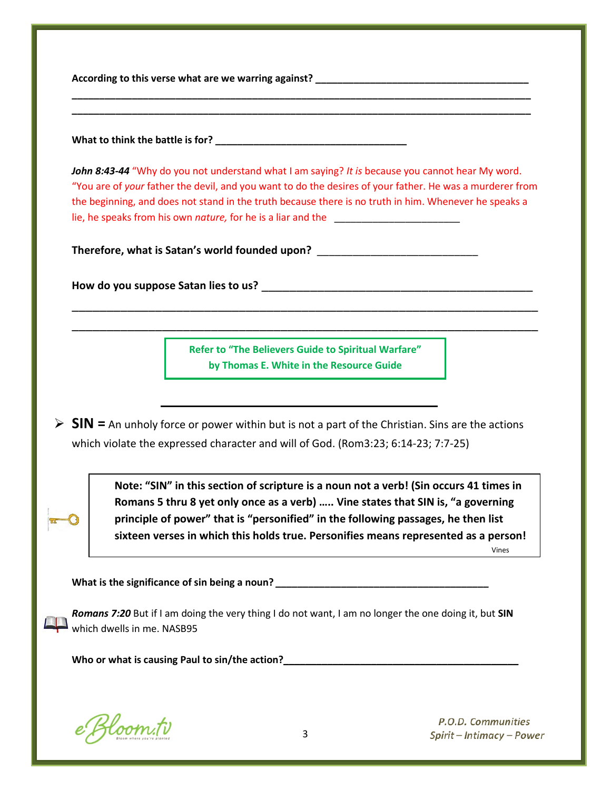According to this verse what are we warring against?

**What to think the battle is for? \_\_\_\_\_\_\_\_\_\_\_\_\_\_\_\_\_\_\_\_\_\_\_\_\_\_\_\_\_\_\_\_\_\_\_**

*John 8:43-44* "Why do you not understand what I am saying? *It is* because you cannot hear My word. "You are of *your* father the devil, and you want to do the desires of your father. He was a murderer from the beginning, and does not stand in the truth because there is no truth in him. Whenever he speaks a lie, he speaks from his own *nature,* for he is a liar and the \_\_\_\_\_\_\_\_\_\_\_\_\_\_\_\_\_\_\_\_\_\_\_

**\_\_\_\_\_\_\_\_\_\_\_\_\_\_\_\_\_\_\_\_\_\_\_\_\_\_\_\_\_\_\_\_\_\_\_\_\_\_\_\_\_\_\_\_\_\_\_\_\_\_\_\_\_\_\_\_\_\_\_\_\_\_\_\_\_\_\_\_\_\_\_\_\_\_\_\_\_\_\_\_\_\_\_\_ \_\_\_\_\_\_\_\_\_\_\_\_\_\_\_\_\_\_\_\_\_\_\_\_\_\_\_\_\_\_\_\_\_\_\_\_\_\_\_\_\_\_\_\_\_\_\_\_\_\_\_\_\_\_\_\_\_\_\_\_\_\_\_\_\_\_\_\_\_\_\_\_\_\_\_\_\_\_\_\_\_\_\_\_**

**Therefore, what is Satan's world founded upon?** \_\_\_\_\_\_\_\_\_\_\_\_\_\_\_\_\_\_\_\_\_\_\_\_\_\_\_

**How do you suppose Satan lies to us?** \_\_\_\_\_\_\_\_\_\_\_\_\_\_\_\_\_\_\_\_\_\_\_\_\_\_\_\_\_\_\_\_\_\_\_\_\_\_\_

**Refer to "The Believers Guide to Spiritual Warfare" by Thomas E. White in the Resource Guide**

\_\_\_\_\_\_\_\_\_\_\_\_\_\_\_\_\_\_\_\_\_\_\_\_\_\_\_\_\_\_\_\_\_\_\_\_\_\_\_\_\_\_\_\_\_\_\_\_\_\_\_\_\_\_\_\_\_\_\_\_\_\_\_\_\_\_\_ \_\_\_\_\_\_\_\_\_\_\_\_\_\_\_\_\_\_\_\_\_\_\_\_\_\_\_\_\_\_\_\_\_\_\_\_\_\_\_\_\_\_\_\_\_\_\_\_\_\_\_\_\_\_\_\_\_\_\_\_\_\_\_\_\_\_\_

 **SIN =** An unholy force or power within but is not a part of the Christian. Sins are the actions which violate the expressed character and will of God. (Rom3:23; 6:14-23; 7:7-25)

> **Note: "SIN" in this section of scripture is a noun not a verb! (Sin occurs 41 times in Romans 5 thru 8 yet only once as a verb) ….. Vine states that SIN is, "a governing principle of power" that is "personified" in the following passages, he then list sixteen verses in which this holds true. Personifies means represented as a person!**

> > Vines

What is the significance of sin being a noun?<br> **What is the significance of sin being a noun?** 

*Romans 7:20* But if I am doing the very thing I do not want, I am no longer the one doing it, but **SIN** which dwells in me. NASB95

**Who or what is causing Paul to sin/the action?\_\_\_\_\_\_\_\_\_\_\_\_\_\_\_\_\_\_\_\_\_\_\_\_\_\_\_\_\_\_\_\_\_\_\_\_\_\_\_\_\_\_\_**

e Bloom.tv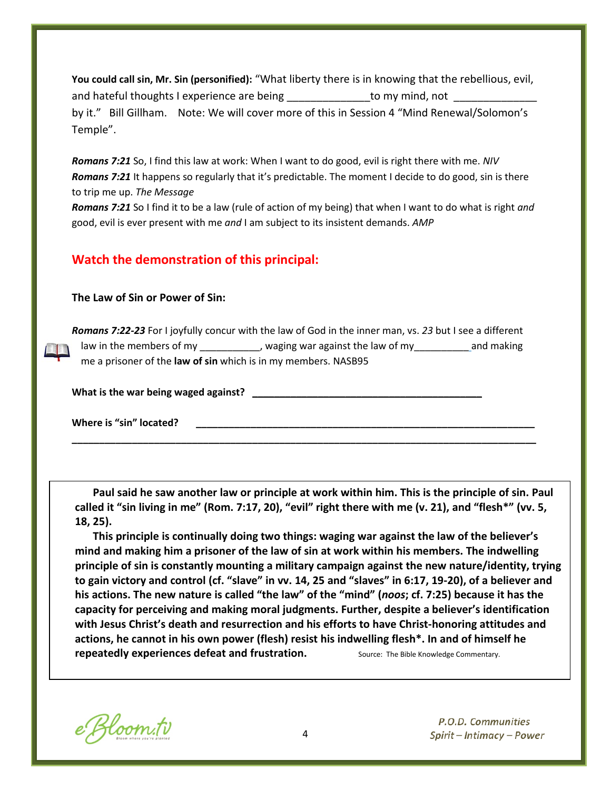**You could call sin, Mr. Sin (personified):** "What liberty there is in knowing that the rebellious, evil, and hateful thoughts I experience are being the same to my mind, not by it." Bill Gillham. Note: We will cover more of this in Session 4 "Mind Renewal/Solomon's Temple".

*Romans 7:21* So, I find this law at work: When I want to do good, evil is right there with me. *NIV Romans 7:21* It happens so regularly that it's predictable. The moment I decide to do good, sin is there to trip me up. *The Message*

*Romans 7:21* So I find it to be a law (rule of action of my being) that when I want to do what is right *and* good, evil is ever present with me *and* I am subject to its insistent demands. *AMP*

### **Watch the demonstration of this principal:**

#### **The Law of Sin or Power of Sin:**

*Romans 7:22-23* For I joyfully concur with the law of God in the inner man, vs. *23* but I see a different law in the members of my \_\_\_\_\_\_\_\_\_\_, waging war against the law of my \_\_\_\_\_\_\_\_\_\_and making me a prisoner of the **law of sin** which is in my members. NASB95

**\_\_\_\_\_\_\_\_\_\_\_\_\_\_\_\_\_\_\_\_\_\_\_\_\_\_\_\_\_\_\_\_\_\_\_\_\_\_\_\_\_\_\_\_\_\_\_\_\_\_\_\_\_\_\_\_\_\_\_\_\_\_\_\_\_\_\_\_\_\_\_\_\_\_\_\_\_\_\_\_\_\_\_\_\_**

What is the war being waged against?

Where is "sin" located?

**Paul said he saw another law or principle at work within him. This is the principle of sin. Paul called it "sin living in me" (Rom. 7:17, 20), "evil" right there with me (v. 21), and "flesh\*" (vv. 5, 18, 25).**

**This principle is continually doing two things: waging war against the law of the believer's mind and making him a prisoner of the law of sin at work within his members. The indwelling principle of sin is constantly mounting a military campaign against the new nature/identity, trying to gain victory and control (cf. "slave" in vv. 14, 25 and "slaves" in 6:17, 19-20), of a believer and his actions. The new nature is called "the law" of the "mind" (***noos***; cf. 7:25) because it has the capacity for perceiving and making moral judgments. Further, despite a believer's identification with Jesus Christ's death and resurrection and his efforts to have Christ-honoring attitudes and actions, he cannot in his own power (flesh) resist his indwelling flesh\*. In and of himself he repeatedly experiences defeat and frustration.** Source: The Bible Knowledge Commentary.

e Bloom.tv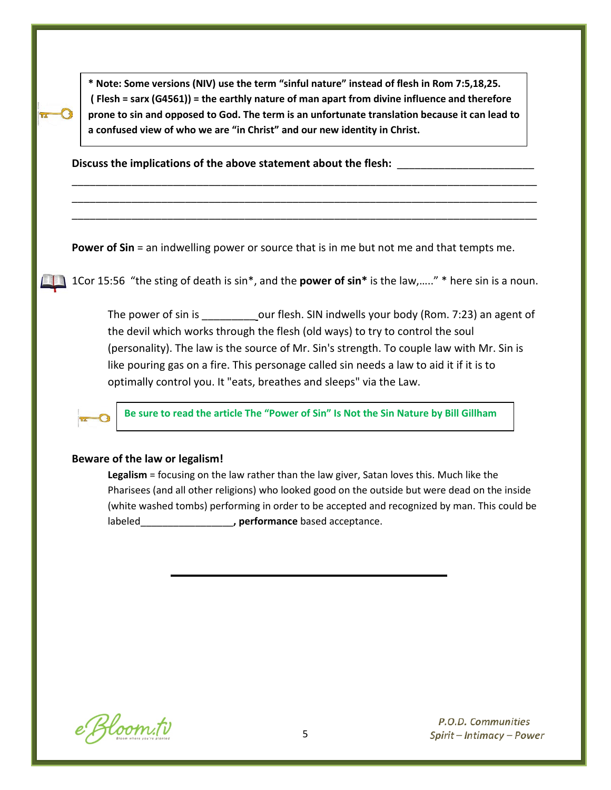**\* Note: Some versions (NIV) use the term "sinful nature" instead of flesh in Rom 7:5,18,25. ( Flesh = sarx (G4561)) = the earthly nature of man apart from divine influence and therefore prone to sin and opposed to God. The term is an unfortunate translation because it can lead to a confused view of who we are "in Christ" and our new identity in Christ.**

\_\_\_\_\_\_\_\_\_\_\_\_\_\_\_\_\_\_\_\_\_\_\_\_\_\_\_\_\_\_\_\_\_\_\_\_\_\_\_\_\_\_\_\_\_\_\_\_\_\_\_\_\_\_\_\_\_\_\_\_\_\_\_\_\_\_\_\_\_\_\_\_\_\_\_\_\_\_ \_\_\_\_\_\_\_\_\_\_\_\_\_\_\_\_\_\_\_\_\_\_\_\_\_\_\_\_\_\_\_\_\_\_\_\_\_\_\_\_\_\_\_\_\_\_\_\_\_\_\_\_\_\_\_\_\_\_\_\_\_\_\_\_\_\_\_\_\_\_\_\_\_\_\_\_\_\_ \_\_\_\_\_\_\_\_\_\_\_\_\_\_\_\_\_\_\_\_\_\_\_\_\_\_\_\_\_\_\_\_\_\_\_\_\_\_\_\_\_\_\_\_\_\_\_\_\_\_\_\_\_\_\_\_\_\_\_\_\_\_\_\_\_\_\_\_\_\_\_\_\_\_\_\_\_\_

**Discuss the implications of the above statement about the flesh:** \_\_\_\_\_\_\_\_\_\_\_\_\_\_\_\_\_\_\_\_\_\_\_

**Power of Sin** = an indwelling power or source that is in me but not me and that tempts me.

1Cor 15:56 "the sting of death is sin\*, and the **power of sin\*** is the law,….." \* here sin is a noun.

The power of sin is \_\_\_\_\_\_\_\_\_\_\_\_\_\_\_our flesh. SIN indwells your body (Rom. 7:23) an agent of the devil which works through the flesh (old ways) to try to control the soul (personality). The law is the source of Mr. Sin's strength. To couple law with Mr. Sin is like pouring gas on a fire. This personage called sin needs a law to aid it if it is to optimally control you. It "eats, breathes and sleeps" via the Law.

**Be sure to read the article The "Power of Sin" Is Not the Sin Nature by Bill Gillham**

#### **Beware of the law or legalism!**

**Legalism** = focusing on the law rather than the law giver, Satan loves this. Much like the Pharisees (and all other religions) who looked good on the outside but were dead on the inside (white washed tombs) performing in order to be accepted and recognized by man. This could be labeled\_\_\_\_\_\_\_\_\_\_\_\_\_\_\_\_\_**, performance** based acceptance.

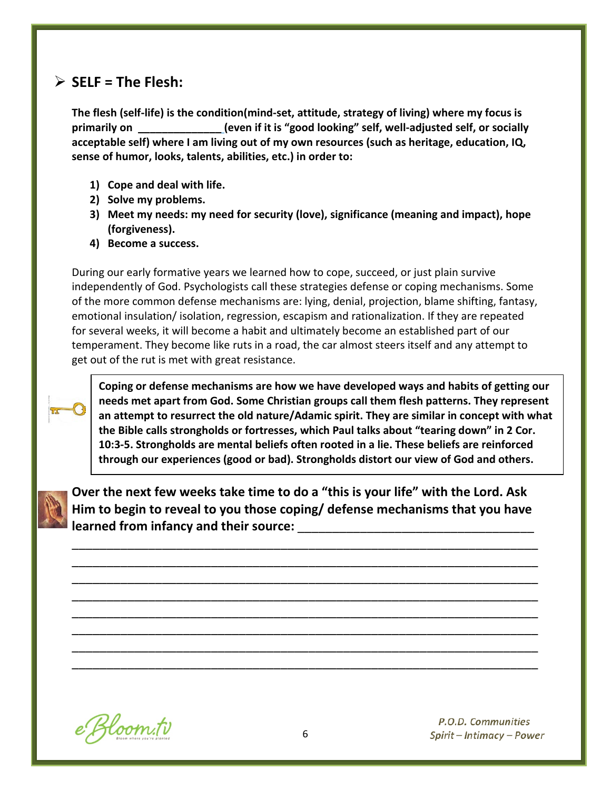# $\triangleright$  SELF = The Flesh:

**The flesh (self-life) is the condition(mind-set, attitude, strategy of living) where my focus is primarily on \_\_\_\_\_\_\_\_\_\_\_\_\_\_ (even if it is "good looking" self, well-adjusted self, or socially acceptable self) where I am living out of my own resources (such as heritage, education, IQ, sense of humor, looks, talents, abilities, etc.) in order to:**

- **1) Cope and deal with life.**
- **2) Solve my problems.**
- **3) Meet my needs: my need for security (love), significance (meaning and impact), hope (forgiveness).**
- **4) Become a success.**

During our early formative years we learned how to cope, succeed, or just plain survive independently of God. Psychologists call these strategies defense or coping mechanisms. Some of the more common defense mechanisms are: lying, denial, projection, blame shifting, fantasy, emotional insulation/ isolation, regression, escapism and rationalization. If they are repeated for several weeks, it will become a habit and ultimately become an established part of our temperament. They become like ruts in a road, the car almost steers itself and any attempt to get out of the rut is met with great resistance.



**Coping or defense mechanisms are how we have developed ways and habits of getting our needs met apart from God. Some Christian groups call them flesh patterns. They represent an attempt to resurrect the old nature/Adamic spirit. They are similar in concept with what the Bible calls strongholds or fortresses, which Paul talks about "tearing down" in 2 Cor. 10:3-5. Strongholds are mental beliefs often rooted in a lie. These beliefs are reinforced through our experiences (good or bad). Strongholds distort our view of God and others.**



**Over the next few weeks take time to do a "this is your life" with the Lord. Ask Him to begin to reveal to you those coping/ defense mechanisms that you have**  learned from infancy and their source:

\_\_\_\_\_\_\_\_\_\_\_\_\_\_\_\_\_\_\_\_\_\_\_\_\_\_\_\_\_\_\_\_\_\_\_\_\_\_\_\_\_\_\_\_\_\_\_\_\_\_\_\_\_\_\_\_\_\_\_\_\_\_\_\_\_\_\_ \_\_\_\_\_\_\_\_\_\_\_\_\_\_\_\_\_\_\_\_\_\_\_\_\_\_\_\_\_\_\_\_\_\_\_\_\_\_\_\_\_\_\_\_\_\_\_\_\_\_\_\_\_\_\_\_\_\_\_\_\_\_\_\_\_\_\_ \_\_\_\_\_\_\_\_\_\_\_\_\_\_\_\_\_\_\_\_\_\_\_\_\_\_\_\_\_\_\_\_\_\_\_\_\_\_\_\_\_\_\_\_\_\_\_\_\_\_\_\_\_\_\_\_\_\_\_\_\_\_\_\_\_\_\_ \_\_\_\_\_\_\_\_\_\_\_\_\_\_\_\_\_\_\_\_\_\_\_\_\_\_\_\_\_\_\_\_\_\_\_\_\_\_\_\_\_\_\_\_\_\_\_\_\_\_\_\_\_\_\_\_\_\_\_\_\_\_\_\_\_\_\_ \_\_\_\_\_\_\_\_\_\_\_\_\_\_\_\_\_\_\_\_\_\_\_\_\_\_\_\_\_\_\_\_\_\_\_\_\_\_\_\_\_\_\_\_\_\_\_\_\_\_\_\_\_\_\_\_\_\_\_\_\_\_\_\_\_\_\_ \_\_\_\_\_\_\_\_\_\_\_\_\_\_\_\_\_\_\_\_\_\_\_\_\_\_\_\_\_\_\_\_\_\_\_\_\_\_\_\_\_\_\_\_\_\_\_\_\_\_\_\_\_\_\_\_\_\_\_\_\_\_\_\_\_\_\_ \_\_\_\_\_\_\_\_\_\_\_\_\_\_\_\_\_\_\_\_\_\_\_\_\_\_\_\_\_\_\_\_\_\_\_\_\_\_\_\_\_\_\_\_\_\_\_\_\_\_\_\_\_\_\_\_\_\_\_\_\_\_\_\_\_\_\_ \_\_\_\_\_\_\_\_\_\_\_\_\_\_\_\_\_\_\_\_\_\_\_\_\_\_\_\_\_\_\_\_\_\_\_\_\_\_\_\_\_\_\_\_\_\_\_\_\_\_\_\_\_\_\_\_\_\_\_\_\_\_\_\_\_\_\_

e Bloom.tv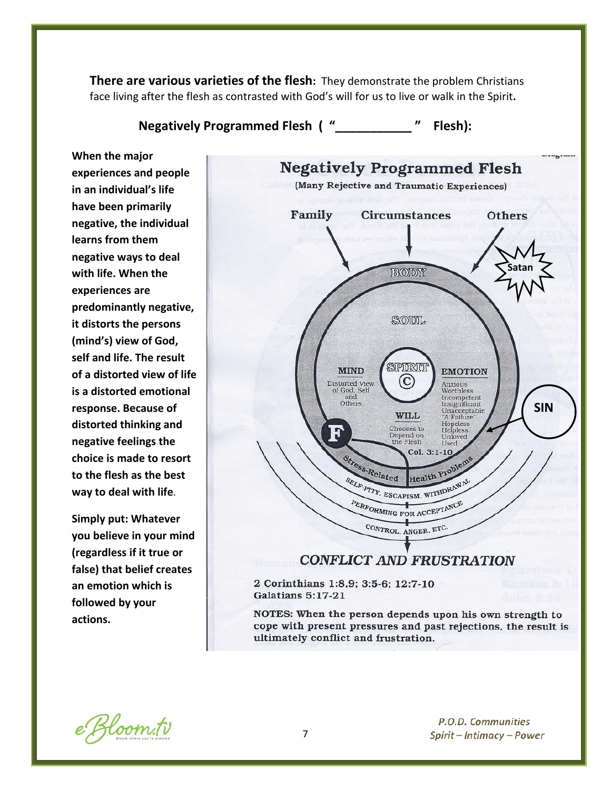**There are various varieties of the flesh:** They demonstrate the problem Christians face living after the flesh as contrasted with God's will for us to live or walk in the Spirit**.**

**Negatively Programmed Flesh ( "\_\_\_\_\_\_\_\_\_\_\_ " Flesh):**

**When the major experiences and people in an individual's life have been primarily negative, the individual learns from them negative ways to deal with life. When the experiences are predominantly negative, it distorts the persons (mind's) view of God, self and life. The result of a distorted view of life is a distorted emotional response. Because of distorted thinking and negative feelings the choice is made to resort to the flesh as the best way to deal with life**.

**Simply put: Whatever you believe in your mind (regardless if it true or false) that belief creates an emotion which is followed by your actions.**



e Bloom.tv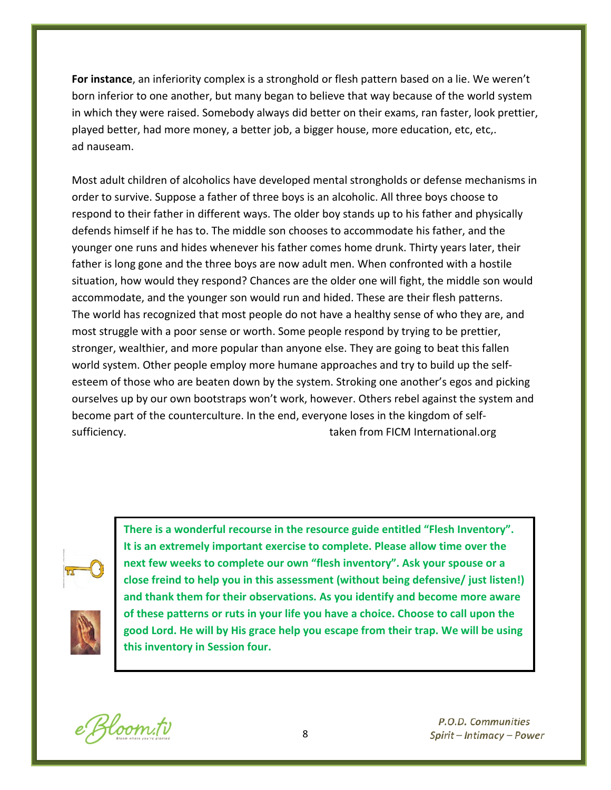**For instance**, an inferiority complex is a stronghold or flesh pattern based on a lie. We weren't born inferior to one another, but many began to believe that way because of the world system in which they were raised. Somebody always did better on their exams, ran faster, look prettier, played better, had more money, a better job, a bigger house, more education, etc, etc,. ad nauseam.

Most adult children of alcoholics have developed mental strongholds or defense mechanisms in order to survive. Suppose a father of three boys is an alcoholic. All three boys choose to respond to their father in different ways. The older boy stands up to his father and physically defends himself if he has to. The middle son chooses to accommodate his father, and the younger one runs and hides whenever his father comes home drunk. Thirty years later, their father is long gone and the three boys are now adult men. When confronted with a hostile situation, how would they respond? Chances are the older one will fight, the middle son would accommodate, and the younger son would run and hided. These are their flesh patterns. The world has recognized that most people do not have a healthy sense of who they are, and most struggle with a poor sense or worth. Some people respond by trying to be prettier, stronger, wealthier, and more popular than anyone else. They are going to beat this fallen world system. Other people employ more humane approaches and try to build up the selfesteem of those who are beaten down by the system. Stroking one another's egos and picking ourselves up by our own bootstraps won't work, however. Others rebel against the system and become part of the counterculture. In the end, everyone loses in the kingdom of selfsufficiency. The surficiency of the surficiency of the surficiency of the surficiency of the surficiency of the surface surface  $\frac{1}{2}$  and  $\frac{1}{2}$  and  $\frac{1}{2}$  and  $\frac{1}{2}$  and  $\frac{1}{2}$  and  $\frac{1}{2}$  and  $\frac{1}{2}$ 





**There is a wonderful recourse in the resource guide entitled "Flesh Inventory". It is an extremely important exercise to complete. Please allow time over the next few weeks to complete our own "flesh inventory". Ask your spouse or a close freind to help you in this assessment (without being defensive/ just listen!) and thank them for their observations. As you identify and become more aware of these patterns or ruts in your life you have a choice. Choose to call upon the good Lord. He will by His grace help you escape from their trap. We will be using this inventory in Session four.**

Bloom.tv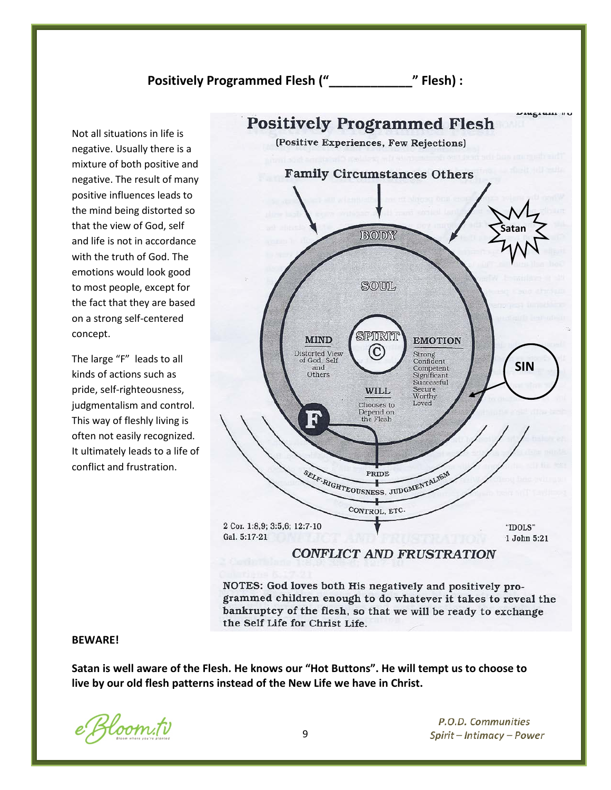# **Positively Programmed Flesh ("\_\_\_\_\_\_\_\_\_\_\_\_" Flesh) :**

Not all situations in life is negative. Usually there is a mixture of both positive and negative. The result of many positive influences leads to the mind being distorted so that the view of God, self and life is not in accordance with the truth of God. The emotions would look good to most people, except for the fact that they are based on a strong self-centered concept.

The large "F" leads to all kinds of actions such as pride, self-righteousness, judgmentalism and control. This way of fleshly living is often not easily recognized. It ultimately leads to a life of conflict and frustration.



NOTES: God loves both His negatively and positively programmed children enough to do whatever it takes to reveal the bankruptcy of the flesh, so that we will be ready to exchange the Self Life for Christ Life.

#### **BEWARE!**

**Satan is well aware of the Flesh. He knows our "Hot Buttons". He will tempt us to choose to live by our old flesh patterns instead of the New Life we have in Christ.**

Bloom.tv